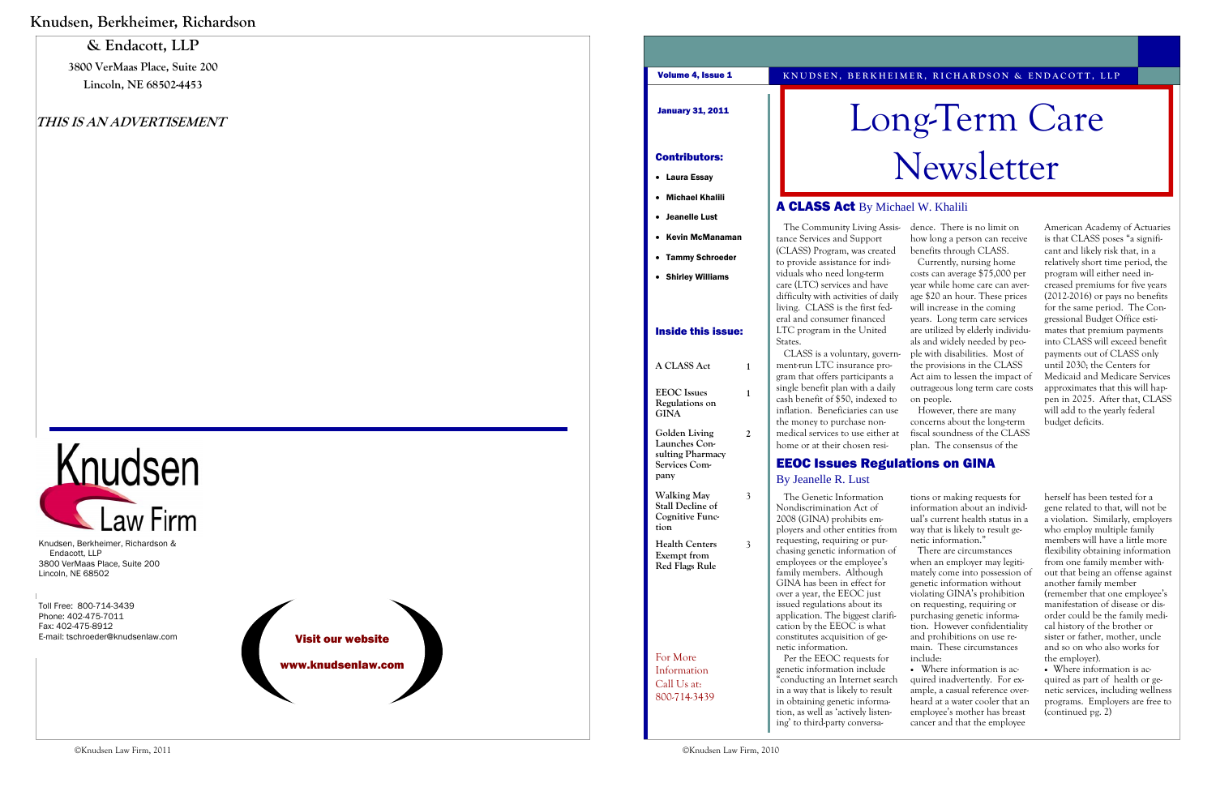

### **& Endacott, LLP**

**3800 VerMaas Place, Suite 200 Lincoln, NE 68502-4453** 

#### **THIS IS AN ADVERTISEMENT**

# Care

- 
- 

| Volume 4, Issue 1                                                         |                |                                                                                                                                                                                                                                                                                                                                                | KNUDSEN, BERKHEIMER, RICHARDSON & ENDACOTT, LLP                                                                                                                                                                                                                                                                                 |                                                                                                                                                                                                                                                                                                                                                               |
|---------------------------------------------------------------------------|----------------|------------------------------------------------------------------------------------------------------------------------------------------------------------------------------------------------------------------------------------------------------------------------------------------------------------------------------------------------|---------------------------------------------------------------------------------------------------------------------------------------------------------------------------------------------------------------------------------------------------------------------------------------------------------------------------------|---------------------------------------------------------------------------------------------------------------------------------------------------------------------------------------------------------------------------------------------------------------------------------------------------------------------------------------------------------------|
| <b>January 31, 2011</b>                                                   |                | Long-Term Care                                                                                                                                                                                                                                                                                                                                 |                                                                                                                                                                                                                                                                                                                                 |                                                                                                                                                                                                                                                                                                                                                               |
| <b>Contributors:</b>                                                      |                |                                                                                                                                                                                                                                                                                                                                                | Newsletter                                                                                                                                                                                                                                                                                                                      |                                                                                                                                                                                                                                                                                                                                                               |
| • Laura Essay                                                             |                |                                                                                                                                                                                                                                                                                                                                                |                                                                                                                                                                                                                                                                                                                                 |                                                                                                                                                                                                                                                                                                                                                               |
| <b>Michael Khalili</b>                                                    |                |                                                                                                                                                                                                                                                                                                                                                |                                                                                                                                                                                                                                                                                                                                 |                                                                                                                                                                                                                                                                                                                                                               |
| • Jeanelle Lust                                                           |                | <b>A CLASS Act</b> By Michael W. Khalili                                                                                                                                                                                                                                                                                                       |                                                                                                                                                                                                                                                                                                                                 |                                                                                                                                                                                                                                                                                                                                                               |
| • Kevin McManaman                                                         |                | The Community Living Assis-<br>tance Services and Support                                                                                                                                                                                                                                                                                      | dence. There is no limit on<br>how long a person can receive                                                                                                                                                                                                                                                                    | American Academy of Actuaries<br>is that CLASS poses "a signifi-                                                                                                                                                                                                                                                                                              |
| • Tammy Schroeder                                                         |                | (CLASS) Program, was created<br>to provide assistance for indi-                                                                                                                                                                                                                                                                                | benefits through CLASS.<br>Currently, nursing home                                                                                                                                                                                                                                                                              | cant and likely risk that, in a<br>relatively short time period, the                                                                                                                                                                                                                                                                                          |
| • Shirley Williams<br><b>Inside this issue:</b>                           |                | viduals who need long-term<br>care (LTC) services and have<br>difficulty with activities of daily<br>living. CLASS is the first fed-<br>eral and consumer financed<br>LTC program in the United                                                                                                                                                | costs can average \$75,000 per<br>year while home care can aver-<br>age \$20 an hour. These prices<br>will increase in the coming<br>years. Long term care services<br>are utilized by elderly individu-                                                                                                                        | program will either need in-<br>creased premiums for five years<br>$(2012-2016)$ or pays no benefits<br>for the same period. The Con-<br>gressional Budget Office esti-<br>mates that premium payments                                                                                                                                                        |
| A CLASS Act                                                               | $\mathbf{1}$   | States.<br>CLASS is a voluntary, govern-<br>ment-run LTC insurance pro-                                                                                                                                                                                                                                                                        | als and widely needed by peo-<br>ple with disabilities. Most of<br>the provisions in the CLASS                                                                                                                                                                                                                                  | into CLASS will exceed benefit<br>payments out of CLASS only<br>until 2030; the Centers for                                                                                                                                                                                                                                                                   |
| <b>EEOC</b> Issues<br>Regulations on<br><b>GINA</b>                       | $\mathbf{1}$   | gram that offers participants a<br>single benefit plan with a daily<br>cash benefit of \$50, indexed to<br>inflation. Beneficiaries can use<br>the money to purchase non-                                                                                                                                                                      | Act aim to lessen the impact of<br>outrageous long term care costs<br>on people.<br>However, there are many<br>concerns about the long-term                                                                                                                                                                                     | Medicaid and Medicare Services<br>approximates that this will hap-<br>pen in 2025. After that, CLASS<br>will add to the yearly federal<br>budget deficits.                                                                                                                                                                                                    |
| Golden Living<br>Launches Con-                                            | 2              | medical services to use either at<br>home or at their chosen resi-                                                                                                                                                                                                                                                                             | fiscal soundness of the CLASS<br>plan. The consensus of the                                                                                                                                                                                                                                                                     |                                                                                                                                                                                                                                                                                                                                                               |
| sulting Pharmacy<br>Services Com-                                         |                | <b>EEOC Issues Regulations on GINA</b>                                                                                                                                                                                                                                                                                                         |                                                                                                                                                                                                                                                                                                                                 |                                                                                                                                                                                                                                                                                                                                                               |
| pany                                                                      |                | <b>By Jeanelle R. Lust</b>                                                                                                                                                                                                                                                                                                                     |                                                                                                                                                                                                                                                                                                                                 |                                                                                                                                                                                                                                                                                                                                                               |
| <b>Walking May</b><br>Stall Decline of<br><b>Cognitive Func-</b><br>tion  | 3              | The Genetic Information<br>Nondiscrimination Act of<br>2008 (GINA) prohibits em-<br>ployers and other entities from<br>requesting, requiring or pur-                                                                                                                                                                                           | tions or making requests for<br>information about an individ-<br>ual's current health status in a<br>way that is likely to result ge-<br>netic information."                                                                                                                                                                    | herself has been tested for a<br>gene related to that, will not be<br>a violation. Similarly, employers<br>who employ multiple family<br>members will have a little more                                                                                                                                                                                      |
| <b>Health Centers</b><br>Exempt from<br><b>Red Flags Rule</b><br>For More | $\mathfrak{Z}$ | chasing genetic information of<br>employees or the employee's<br>family members. Although<br>GINA has been in effect for<br>over a year, the EEOC just<br>issued regulations about its<br>application. The biggest clarifi-<br>cation by the EEOC is what<br>constitutes acquisition of ge-<br>netic information.<br>Per the EEOC requests for | There are circumstances<br>when an employer may legiti-<br>mately come into possession of<br>genetic information without<br>violating GINA's prohibition<br>on requesting, requiring or<br>purchasing genetic informa-<br>tion. However confidentiality<br>and prohibitions on use re-<br>main. These circumstances<br>include: | flexibility obtaining information<br>from one family member with-<br>out that being an offense against<br>another family member<br>(remember that one employee's<br>manifestation of disease or dis-<br>order could be the family medi-<br>cal history of the brother or<br>sister or father, mother, uncle<br>and so on who also works for<br>the employer). |
| Information<br>Call Us at:<br>800-714-3439                                |                | genetic information include<br>"conducting an Internet search<br>in a way that is likely to result<br>in obtaining genetic informa-<br>tion, as well as 'actively listen-<br>ing' to third-party conversa-                                                                                                                                     | • Where information is ac-<br>quired inadvertently. For ex-<br>ample, a casual reference over-<br>heard at a water cooler that an<br>employee's mother has breast<br>cancer and that the employee                                                                                                                               | • Where information is ac-<br>quired as part of health or ge-<br>netic services, including wellness<br>programs. Employers are free to<br>(continued pg. 2)                                                                                                                                                                                                   |